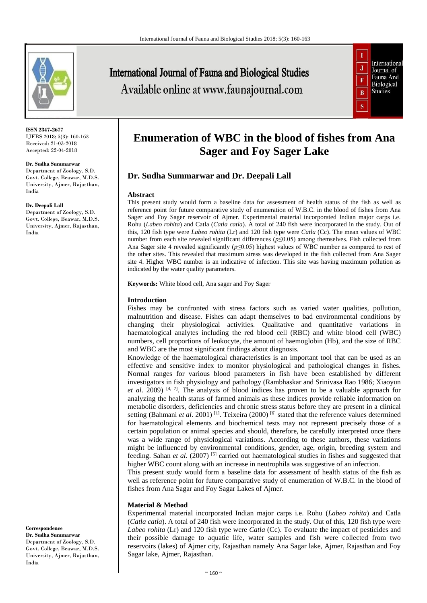

**ISSN 2347-2677** IJFBS 2018; 5(3): 160-163 Received: 21-03-2018 Accepted: 22-04-2018

#### **Dr. Sudha Summarwar**

Department of Zoology, S.D. Govt. College, Beawar, M.D.S. University, Ajmer, Rajasthan, India

#### **Dr. Deepali Lall**

Department of Zoology, S.D. Govt. College, Beawar, M.D.S. University, Ajmer, Rajasthan, India

**Correspondence Dr. Sudha Summarwar** Department of Zoology, S.D. Govt. College, Beawar, M.D.S. University, Ajmer, Rajasthan, India

# International Journal of Fauna and Biological Studies Available online at www.faunajournal.com



# **Enumeration of WBC in the blood of fishes from Ana Sager and Foy Sager Lake**

# **Dr. Sudha Summarwar and Dr. Deepali Lall**

#### **Abstract**

This present study would form a baseline data for assessment of health status of the fish as well as reference point for future comparative study of enumeration of W.B.C. in the blood of fishes from Ana Sager and Foy Sager reservoir of Ajmer. Experimental material incorporated Indian major carps i.e. Rohu (*Labeo rohita*) and Catla (*Catla catla*). A total of 240 fish were incorporated in the study. Out of this, 120 fish type were *Labeo rohita* (Lr) and 120 fish type were *Catla* (Cc). The mean values of WBC number from each site revealed significant differences (*p*≤0.05) among themselves. Fish collected from Ana Sager site 4 revealed significantly (*p*≤0.05) highest values of WBC number as compared to rest of the other sites. This revealed that maximum stress was developed in the fish collected from Ana Sager site 4. Higher WBC number is an indicative of infection. This site was having maximum pollution as indicated by the water quality parameters.

**Keywords:** White blood cell, Ana sager and Foy Sager

#### **Introduction**

Fishes may be confronted with stress factors such as varied water qualities, pollution, malnutrition and disease. Fishes can adapt themselves to bad environmental conditions by changing their physiological activities. Qualitative and quantitative variations in haematological analytes including the red blood cell (RBC) and white blood cell (WBC) numbers, cell proportions of leukocyte, the amount of haemoglobin (Hb), and the size of RBC and WBC are the most significant findings about diagnosis.

Knowledge of the haematological characteristics is an important tool that can be used as an effective and sensitive index to monitor physiological and pathological changes in fishes. Normal ranges for various blood parameters in fish have been established by different investigators in fish physiology and pathology (Rambhaskar and Srinivasa Rao 1986; Xiaoyun *et al*. 2009) [4, 7]. The analysis of blood indices has proven to be a valuable approach for analyzing the health status of farmed animals as these indices provide reliable information on metabolic disorders, deficiencies and chronic stress status before they are present in a clinical setting (Bahmani et al. 2001)<sup>[1]</sup>. Teixeira (2000)<sup>[6]</sup> stated that the reference values determined for haematological elements and biochemical tests may not represent precisely those of a certain population or animal species and should, therefore, be carefully interpreted once there was a wide range of physiological variations. According to these authors, these variations might be influenced by environmental conditions, gender, age, origin, breeding system and feeding. Sahan *et al.* (2007) [5] carried out haematological studies in fishes and suggested that higher WBC count along with an increase in neutrophila was suggestive of an infection.

This present study would form a baseline data for assessment of health status of the fish as well as reference point for future comparative study of enumeration of W.B.C. in the blood of fishes from Ana Sagar and Foy Sagar Lakes of Ajmer.

## **Material & Method**

Experimental material incorporated Indian major carps i.e. Rohu (*Labeo rohita*) and Catla (*Catla catla*). A total of 240 fish were incorporated in the study. Out of this, 120 fish type were *Labeo rohita* (Lr) and 120 fish type were *Catla* (Cc). To evaluate the impact of pesticides and their possible damage to aquatic life, water samples and fish were collected from two reservoirs (lakes) of Ajmer city, Rajasthan namely Ana Sagar lake, Ajmer, Rajasthan and Foy Sagar lake, Ajmer, Rajasthan.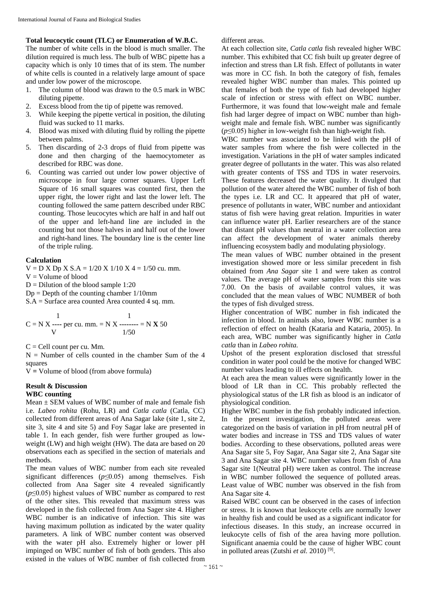**Total leucocytic count (TLC) or Enumeration of W.B.C.** 

The number of white cells in the blood is much smaller. The dilution required is much less. The bulb of WBC pipette has a capacity which is only 10 times that of its stem. The number of white cells is counted in a relatively large amount of space and under low power of the microscope.

- 1. The column of blood was drawn to the 0.5 mark in WBC diluting pipette.
- 2. Excess blood from the tip of pipette was removed.
- 3. While keeping the pipette vertical in position, the diluting fluid was sucked to 11 marks.
- 4. Blood was mixed with diluting fluid by rolling the pipette between palms.
- 5. Then discarding of 2**-**3 drops of fluid from pipette was done and then charging of the haemocytometer as described for RBC was done.
- 6. Counting was carried out under low power objective of microscope in four large corner squares. Upper Left Square of 16 small squares was counted first, then the upper right, the lower right and last the lower left. The counting followed the same pattern described under RBC counting. Those leucocytes which are half in and half out of the upper and left**-**hand line are included in the counting but not those halves in and half out of the lower and right**-**hand lines. The boundary line is the center line of the triple ruling.

#### **Calculation**

 $V = D X Dp X S.A = 1/20 X 1/10 X 4 = 1/50 cu. mm.$ 

 $V =$  Volume of blood

- $D = D$ ilution of the blood sample 1:20
- $Dp = Depth$  of the counting chamber  $1/10$ mm

S.A = Surface area counted Area counted 4 sq. mm.

C = N X 
$$
\frac{1}{V}
$$
 per cu. mm. = N X  $\frac{1}{1/50}$  = N X 50

 $C =$  Cell count per cu. Mm.

 $N =$  Number of cells counted in the chamber Sum of the 4 squares

V **=** Volume of blood (from above formula)

#### **Result & Discussion WBC counting**

Mean  $\pm$  SEM values of WBC number of male and female fish i.e. *Labeo rohita* (Rohu, LR) and *Catla catla* (Catla, CC) collected from different areas of Ana Sagar lake (site 1, site 2, site 3, site 4 and site 5) and Foy Sagar lake are presented in table 1. In each gender, fish were further grouped as lowweight (LW) and high weight (HW). The data are based on 20 observations each as specified in the section of materials and methods.

The mean values of WBC number from each site revealed significant differences (*p*≤0.05) among themselves. Fish collected from Ana Sager site 4 revealed significantly (*p*≤0.05) highest values of WBC number as compared to rest of the other sites. This revealed that maximum stress was developed in the fish collected from Ana Sager site 4. Higher WBC number is an indicative of infection. This site was having maximum pollution as indicated by the water quality parameters. A link of WBC number content was observed with the water pH also. Extremely higher or lower pH impinged on WBC number of fish of both genders. This also existed in the values of WBC number of fish collected from

different areas.

At each collection site, *Catla catla* fish revealed higher WBC number. This exhibited that CC fish built up greater degree of infection and stress than LR fish. Effect of pollutants in water was more in CC fish. In both the category of fish, females revealed higher WBC number than males. This pointed up that females of both the type of fish had developed higher scale of infection or stress with effect on WBC number. Furthermore, it was found that low**-**weight male and female fish had larger degree of impact on WBC number than highweight male and female fish. WBC number was significantly (*p*≤0.05) higher in low**-**weight fish than high**-**weight fish.

WBC number was associated to be linked with the pH of water samples from where the fish were collected in the investigation. Variations in the pH of water samples indicated greater degree of pollutants in the water. This was also related with greater contents of TSS and TDS in water reservoirs. These features decreased the water quality. It divulged that pollution of the water altered the WBC number of fish of both the types i.e. LR and CC. It appeared that pH of water, presence of pollutants in water, WBC number and antioxidant status of fish were having great relation. Impurities in water can influence water pH. Earlier researchers are of the stance that distant pH values than neutral in a water collection area can affect the development of water animals thereby influencing ecosystem badly and modulating physiology.

The mean values of WBC number obtained in the present investigation showed more or less similar precedent in fish obtained from *Ana Sagar* site 1 and were taken as control values. The average pH of water samples from this site was 7.00. On the basis of available control values, it was concluded that the mean values of WBC NUMBER of both the types of fish divulged stress.

Higher concentration of WBC number in fish indicated the infection in blood. In animals also, lower WBC number is a reflection of effect on health (Kataria and Kataria, 2005). In each area, WBC number was significantly higher in *Catla catla* than in *Labeo rohita.*

Upshot of the present exploration disclosed that stressful condition in water pool could be the motive for changed WBC number values leading to ill effects on health.

At each area the mean values were significantly lower in the blood of LR than in CC*.* This probably reflected the physiological status of the LR fish as blood is an indicator of physiological condition.

Higher WBC number in the fish probably indicated infection. In the present investigation, the polluted areas were categorized on the basis of variation in pH from neutral pH of water bodies and increase in TSS and TDS values of water bodies. According to these observations, polluted areas were Ana Sagar site 5, Foy Sagar, Ana Sagar site 2, Ana Sagar site 3 and Ana Sagar site 4. WBC number values from fish of Ana Sagar site 1(Neutral pH) were taken as control. The increase in WBC number followed the sequence of polluted areas. Least value of WBC number was observed in the fish from Ana Sagar site 4.

Raised WBC count can be observed in the cases of infection or stress. It is known that leukocyte cells are normally lower in healthy fish and could be used as a significant indicator for infectious diseases. In this study, an increase occurred in leukocyte cells of fish of the area having more pollution. Significant anaemia could be the cause of higher WBC count in polluted areas (Zutshi et al. 2010)<sup>[9]</sup>.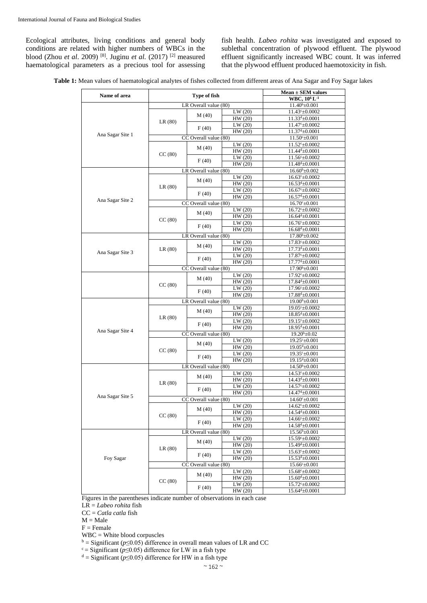Ecological attributes, living conditions and general body conditions are related with higher numbers of WBCs in the blood (Zhou *et al*. 2009) [8]. Juginu *et al.* (2017) [2] measured haematological parameters as a precious tool for assessing fish health. *Labeo rohita* was investigated and exposed to sublethal concentration of plywood effluent. The plywood effluent significantly increased WBC count. It was inferred that the plywood effluent produced haemotoxicity in fish.

**Table 1:** Mean values of haematological analytes of fishes collected from different areas of Ana Sagar and Foy Sagar lakes

| Name of area     | Type of fish          |                                         |                      | Mean ± SEM values                                       |
|------------------|-----------------------|-----------------------------------------|----------------------|---------------------------------------------------------|
|                  |                       |                                         |                      | WBC, 10 <sup>6</sup> L-1                                |
| Ana Sagar Site 1 | LR Overall value (80) |                                         |                      | $11.40b \pm 0.001$                                      |
|                  | LR(80)                | M(40)                                   | LW(20)               | $11.43^c \pm 0.0002$                                    |
|                  |                       |                                         | HW (20)              | $11.33^{d} \pm 0.0001$                                  |
|                  |                       | F(40)                                   | LW(20)               | 11.47 <sup>c</sup> ±0.0002                              |
|                  |                       |                                         | HW (20)              | $11.37^{\mathrm{d}}\pm 0.0001$                          |
|                  |                       | CC Overall value (80)                   |                      | $11.50^{\circ}$ ±0.001                                  |
|                  | CC(80)                | M(40)                                   | LW(20)               | 11.52 <sup>c</sup> ±0.0002                              |
|                  |                       |                                         | $\overline{HW}(20)$  | $11.44^d \pm 0.0001$                                    |
|                  |                       | F(40)                                   | LW(20)               | $11.56^{\circ} \pm 0.0002$                              |
|                  |                       |                                         | HW(20)               | $11.48^{\mathrm{d}}\pm 0.0001$                          |
| Ana Sagar Site 2 | LR(80)                | LR Overall value (80)                   |                      | $16.60^{b} \pm 0.002$                                   |
|                  |                       | M(40)                                   | LW(20)               | $16.63^{\circ} \pm 0.0002$                              |
|                  |                       |                                         | HW (20)              | $16.53^{d} \pm 0.0001$                                  |
|                  |                       | F(40)                                   | LW(20)               | $16.67^{\circ} \pm 0.0002$                              |
|                  |                       |                                         | HW (20)              | $16.57^{\text{d}}\pm 0.0001$                            |
|                  | CC(80)                | CC Overall value (80)                   |                      | $16.70^{\circ} \pm 0.001$                               |
|                  |                       | M(40)                                   | LW(20)               | $16.72^{\circ} \pm 0.0002$                              |
|                  |                       |                                         | HW (20)              | $16.64^{\mathrm{d}}\pm 0.0001$                          |
|                  |                       | F(40)                                   | LW(20)               | 16.76 <sup>c</sup> ±0.0002                              |
|                  |                       |                                         | HW(20)               | $16.68^{\mathrm{d}}\pm 0.0001$                          |
| Ana Sagar Site 3 |                       | LR Overall value (80)                   |                      | $17.80^{\rm b} \pm 0.002$                               |
|                  |                       | M(40)<br>F(40)                          | LW(20)               | 17.83 c±0.0002                                          |
|                  | LR(80)                |                                         | HW (20)              | $17.73^{\text{d}}\pm 0.0001$                            |
|                  |                       |                                         | LW(20)               | $17.87^{\circ} \pm 0.0002$                              |
|                  |                       |                                         | HW(20)               | $17.77^{d} \pm 0.0001$                                  |
|                  |                       | CC Overall value (80)                   |                      | $17.90^{\rm b} \pm 0.001$                               |
|                  | CC(80)                | M(40)                                   | LW(20)               | 17.92°±0.0002                                           |
|                  |                       |                                         | HW (20)              | $17.84d \pm 0.0001$                                     |
|                  |                       | F(40)                                   | LW(20)               | 17.96°±0.0002                                           |
|                  |                       |                                         | HW (20)              | $17.88d \pm 0.0001$                                     |
| Ana Sagar Site 4 | LR(80)                | LR Overall value (80)                   |                      | $19.00^b \pm 0.001$                                     |
|                  |                       | M (40)                                  | LW(20)               | 19.05°±0.0002                                           |
|                  |                       | F(40)                                   | $\overline{HW}$ (20) | $18.85^{d} \pm 0.0001$                                  |
|                  |                       |                                         | LW(20)               | $19.15^{\circ}$ ±0.0002                                 |
|                  |                       |                                         | HW(20)               | $18.95^{\text{d}}\pm 0.0001$                            |
|                  |                       | CC Overall value (80)<br>M(40)<br>F(40) |                      | $19.20^b \pm 0.02$                                      |
|                  |                       |                                         | LW(20)               | $19.25^{\circ} \pm 0.001$                               |
|                  | CC(80)                |                                         | HW (20)              | $19.05^{\text{d}}\pm 0.001$                             |
|                  |                       |                                         | LW(20)               | $19.35^{\circ} \pm 0.001$                               |
|                  |                       | LR Overall value (80)                   | HW(20)               | $19.15^{d} \pm 0.001$                                   |
| Ana Sagar Site 5 | LR(80)                |                                         |                      | $14.50^b \pm 0.001$                                     |
|                  |                       | M(40)                                   | LW(20)               | 14.53°±0.0002                                           |
|                  |                       |                                         | HW (20)<br>LW(20)    | $14.43^{\mathrm{d}}\pm 0.0001$                          |
|                  |                       | F(40)                                   | HW(20)               | 14.57°±0.0002                                           |
|                  |                       | CC Overall value (80)                   |                      | $14.47d_{\pm}0.0001$                                    |
|                  | CC(80)                | M(40)                                   | LW (20)              | $14.60^{\circ} \pm 0.001$<br>$14.62^{\circ} \pm 0.0002$ |
|                  |                       |                                         | HW(20)               | 14.54 <sup>d</sup> ±0.0001                              |
|                  |                       |                                         |                      | $14.66^{\circ} \pm 0.0002$                              |
|                  |                       | F(40)                                   | LW(20)<br>HW (20)    | $14.58^{\mathrm{d}}\pm 0.0001$                          |
|                  |                       | LR Overall value (80)                   |                      | $15.56^b \pm 0.001$                                     |
| Foy Sagar        | LR(80)                | M(40)<br>F(40)                          | LW(20)               | 15.59°±0.0002                                           |
|                  |                       |                                         | HW(20)               | $15.49^{\mathrm{d}}\pm 0.0001$                          |
|                  |                       |                                         | LW(20)               | 15.63 <sup>c</sup> ±0.0002                              |
|                  |                       |                                         | HW (20)              | $15.53^{\text{d}}\pm 0.0001$                            |
|                  |                       | CC Overall value (80)                   |                      | $15.66^{\circ} \pm 0.001$                               |
|                  | CC(80)                | M(40)                                   | LW (20)              | $15.68^{\circ} \pm 0.0002$                              |
|                  |                       |                                         | HW (20)              | $15.60^{\text{d}} \pm 0.0001$                           |
|                  |                       | F(40)                                   | LW(20)               | 15.72 <sup>c</sup> ±0.0002                              |
|                  |                       |                                         | HW (20)              | $15.64d \pm 0.0001$                                     |
|                  |                       |                                         |                      |                                                         |

Figures in the parentheses indicate number of observations in each case

LR = *Labeo rohita* fish

CC = *Catla catla* fish

 $M = Male$ 

 $F =$ Female

WBC = White blood corpuscles

<sup>b</sup> = Significant (*p*≤0.05) difference in overall mean values of LR and CC

<sup>c</sup> = Significant (*p*≤0.05) difference for LW in a fish type

 $d =$  Significant ( $p \le 0.05$ ) difference for HW in a fish type